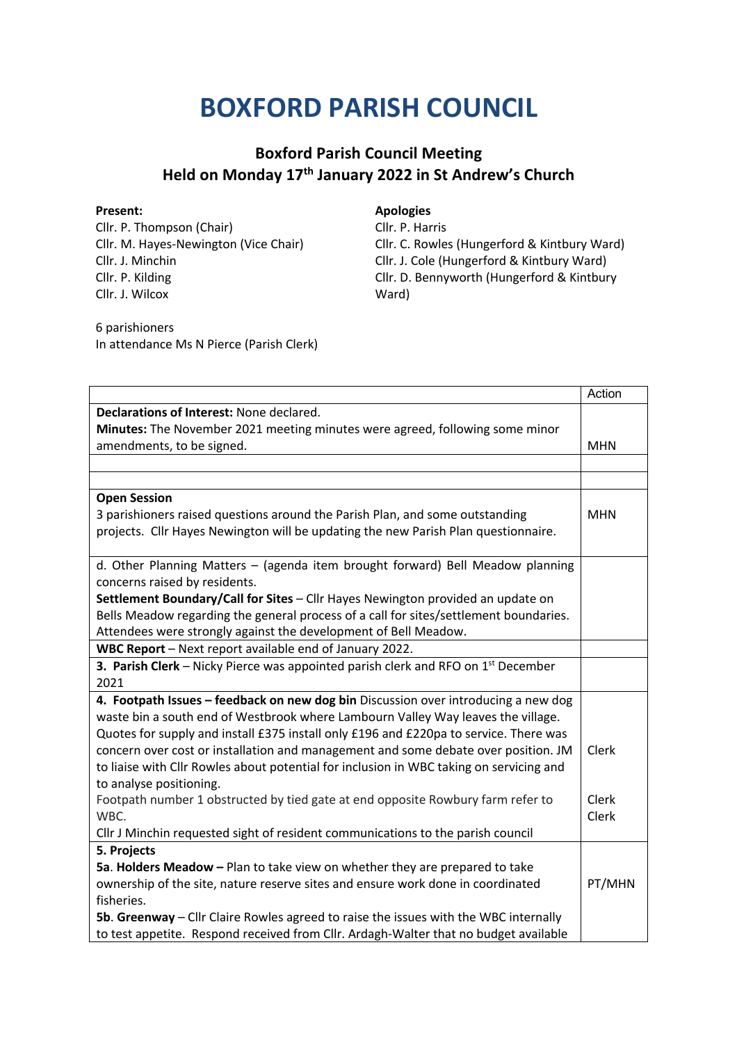## **BOXFORD PARISH COUNCIL**

## **Boxford Parish Council Meeting Held on Monday 17th January 2022 in St Andrew's Church**

Cllr. P. Thompson (Chair) Cllr. M. Hayes-Newington (Vice Chair) Cllr. J. Minchin Cllr. P. Kilding Cllr. J. Wilcox

**Present: Apologies**

Cllr. P. Harris Cllr. C. Rowles (Hungerford & Kintbury Ward) Cllr. J. Cole (Hungerford & Kintbury Ward) Cllr. D. Bennyworth (Hungerford & Kintbury Ward)

6 parishioners In attendance Ms N Pierce (Parish Clerk)

|                                                                                            | Action       |
|--------------------------------------------------------------------------------------------|--------------|
| Declarations of Interest: None declared.                                                   |              |
| Minutes: The November 2021 meeting minutes were agreed, following some minor               |              |
| amendments, to be signed.                                                                  | <b>MHN</b>   |
|                                                                                            |              |
|                                                                                            |              |
| <b>Open Session</b>                                                                        |              |
| 3 parishioners raised questions around the Parish Plan, and some outstanding               | <b>MHN</b>   |
| projects. Cllr Hayes Newington will be updating the new Parish Plan questionnaire.         |              |
|                                                                                            |              |
| d. Other Planning Matters - (agenda item brought forward) Bell Meadow planning             |              |
| concerns raised by residents.                                                              |              |
| Settlement Boundary/Call for Sites - Cllr Hayes Newington provided an update on            |              |
| Bells Meadow regarding the general process of a call for sites/settlement boundaries.      |              |
| Attendees were strongly against the development of Bell Meadow.                            |              |
| WBC Report - Next report available end of January 2022.                                    |              |
| <b>3. Parish Clerk</b> – Nicky Pierce was appointed parish clerk and RFO on $1st$ December |              |
| 2021                                                                                       |              |
| 4. Footpath Issues - feedback on new dog bin Discussion over introducing a new dog         |              |
| waste bin a south end of Westbrook where Lambourn Valley Way leaves the village.           |              |
| Quotes for supply and install £375 install only £196 and £220pa to service. There was      |              |
| concern over cost or installation and management and some debate over position. JM         | Clerk        |
| to liaise with Cllr Rowles about potential for inclusion in WBC taking on servicing and    |              |
| to analyse positioning.                                                                    |              |
| Footpath number 1 obstructed by tied gate at end opposite Rowbury farm refer to            | <b>Clerk</b> |
| WBC.                                                                                       | Clerk        |
| Cllr J Minchin requested sight of resident communications to the parish council            |              |
| 5. Projects                                                                                |              |
| 5a. Holders Meadow - Plan to take view on whether they are prepared to take                |              |
| ownership of the site, nature reserve sites and ensure work done in coordinated            | PT/MHN       |
| fisheries.                                                                                 |              |
| 5b. Greenway - Cllr Claire Rowles agreed to raise the issues with the WBC internally       |              |
| to test appetite. Respond received from Cllr. Ardagh-Walter that no budget available       |              |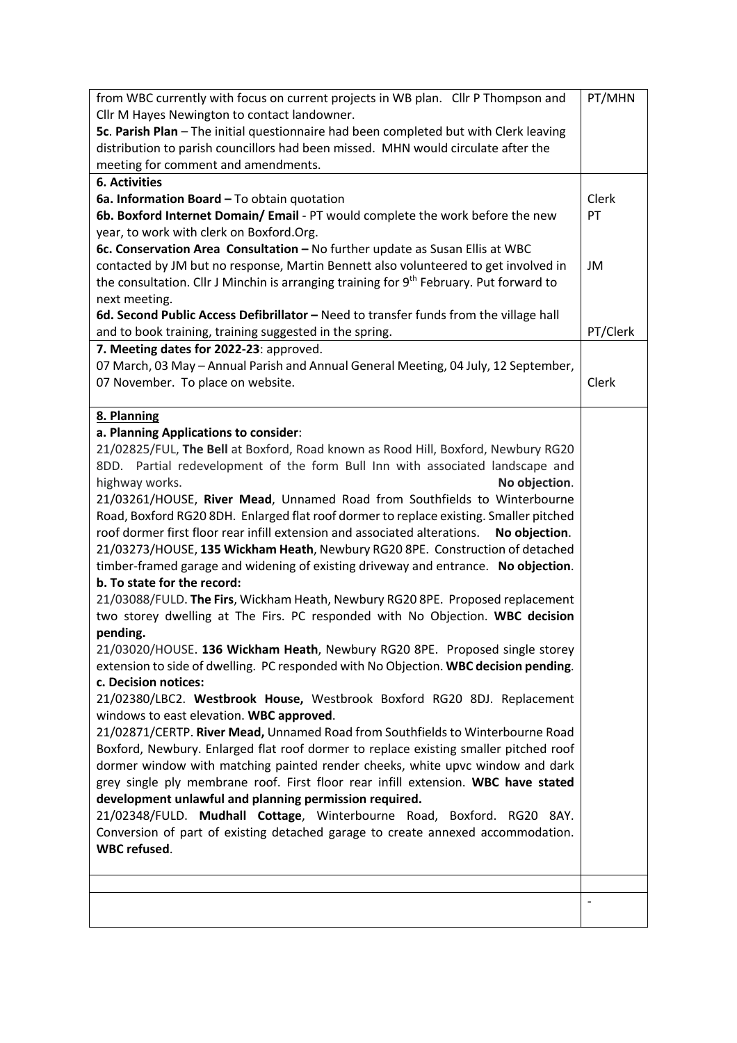| from WBC currently with focus on current projects in WB plan. Cllr P Thompson and                   | PT/MHN                   |
|-----------------------------------------------------------------------------------------------------|--------------------------|
| Cllr M Hayes Newington to contact landowner.                                                        |                          |
| 5c. Parish Plan - The initial questionnaire had been completed but with Clerk leaving               |                          |
| distribution to parish councillors had been missed. MHN would circulate after the                   |                          |
| meeting for comment and amendments.                                                                 |                          |
| <b>6. Activities</b>                                                                                |                          |
| 6a. Information Board - To obtain quotation                                                         | Clerk                    |
| 6b. Boxford Internet Domain/ Email - PT would complete the work before the new                      | PT                       |
| year, to work with clerk on Boxford.Org.                                                            |                          |
| 6c. Conservation Area Consultation - No further update as Susan Ellis at WBC                        |                          |
| contacted by JM but no response, Martin Bennett also volunteered to get involved in                 | JM                       |
| the consultation. Cllr J Minchin is arranging training for 9 <sup>th</sup> February. Put forward to |                          |
| next meeting.                                                                                       |                          |
| 6d. Second Public Access Defibrillator - Need to transfer funds from the village hall               |                          |
| and to book training, training suggested in the spring.                                             | PT/Clerk                 |
| 7. Meeting dates for 2022-23: approved.                                                             |                          |
| 07 March, 03 May - Annual Parish and Annual General Meeting, 04 July, 12 September,                 |                          |
| 07 November. To place on website.                                                                   | Clerk                    |
|                                                                                                     |                          |
| 8. Planning                                                                                         |                          |
| a. Planning Applications to consider:                                                               |                          |
| 21/02825/FUL, The Bell at Boxford, Road known as Rood Hill, Boxford, Newbury RG20                   |                          |
| 8DD. Partial redevelopment of the form Bull Inn with associated landscape and                       |                          |
| highway works.<br>No objection.                                                                     |                          |
| 21/03261/HOUSE, River Mead, Unnamed Road from Southfields to Winterbourne                           |                          |
| Road, Boxford RG20 8DH. Enlarged flat roof dormer to replace existing. Smaller pitched              |                          |
| roof dormer first floor rear infill extension and associated alterations.<br>No objection.          |                          |
| 21/03273/HOUSE, 135 Wickham Heath, Newbury RG20 8PE. Construction of detached                       |                          |
| timber-framed garage and widening of existing driveway and entrance. No objection.                  |                          |
| b. To state for the record:                                                                         |                          |
| 21/03088/FULD. The Firs, Wickham Heath, Newbury RG20 8PE. Proposed replacement                      |                          |
| two storey dwelling at The Firs. PC responded with No Objection. WBC decision                       |                          |
|                                                                                                     |                          |
| pending.                                                                                            |                          |
| 21/03020/HOUSE. 136 Wickham Heath, Newbury RG20 8PE. Proposed single storey                         |                          |
| extension to side of dwelling. PC responded with No Objection. WBC decision pending.                |                          |
| c. Decision notices:                                                                                |                          |
| 21/02380/LBC2. Westbrook House, Westbrook Boxford RG20 8DJ. Replacement                             |                          |
| windows to east elevation. WBC approved.                                                            |                          |
| 21/02871/CERTP. River Mead, Unnamed Road from Southfields to Winterbourne Road                      |                          |
| Boxford, Newbury. Enlarged flat roof dormer to replace existing smaller pitched roof                |                          |
| dormer window with matching painted render cheeks, white upvc window and dark                       |                          |
| grey single ply membrane roof. First floor rear infill extension. WBC have stated                   |                          |
| development unlawful and planning permission required.                                              |                          |
| 21/02348/FULD. Mudhall Cottage, Winterbourne Road, Boxford. RG20 8AY.                               |                          |
| Conversion of part of existing detached garage to create annexed accommodation.                     |                          |
| <b>WBC</b> refused.                                                                                 |                          |
|                                                                                                     |                          |
|                                                                                                     |                          |
|                                                                                                     | $\overline{\phantom{0}}$ |
|                                                                                                     |                          |